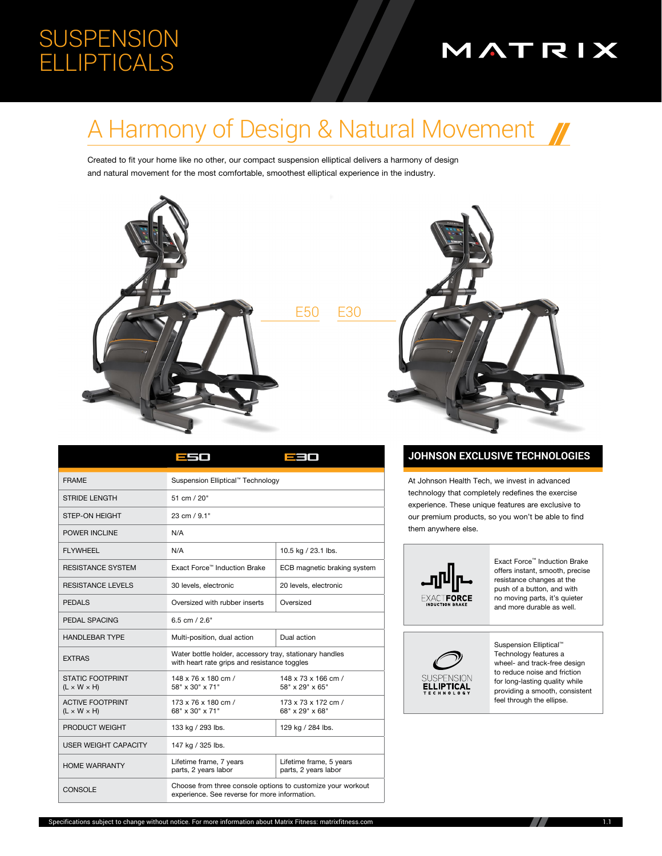## **SUSPENSION ELLIPTICALS**

# MATRIX

# A Harmony of Design & Natural Movement

Created to fit your home like no other, our compact suspension elliptical delivers a harmony of design and natural movement for the most comfortable, smoothest elliptical experience in the industry.

E3O



<u>-</u>50



#### **JOHNSON EXCLUSIVE TECHNOLOGIES**

At Johnson Health Tech, we invest in advanced technology that completely redefines the exercise experience. These unique features are exclusive to our premium products, so you won't be able to find them anywhere else.



Exact Force™ Induction Brake offers instant, smooth, precise resistance changes at the push of a button, and with no moving parts, it's quieter and more durable as well.



Suspension Elliptical<sup>™</sup> Technology features a wheel- and track-free design to reduce noise and friction for long-lasting quality while providing a smooth, consistent feel through the ellipse.

| <b>FRAMF</b>                                       | Suspension Elliptical™ Technology                                                                            |                                                 |  |
|----------------------------------------------------|--------------------------------------------------------------------------------------------------------------|-------------------------------------------------|--|
| <b>STRIDE LENGTH</b>                               | 51 cm / 20"                                                                                                  |                                                 |  |
| <b>STEP-ON HEIGHT</b>                              | 23 cm / 9.1"                                                                                                 |                                                 |  |
| POWER INCLINE                                      | N/A                                                                                                          |                                                 |  |
| FI YWHFFI                                          | N/A                                                                                                          | 10.5 kg / 23.1 lbs.                             |  |
| <b>RESISTANCE SYSTEM</b>                           | Exact Force™ Induction Brake                                                                                 | ECB magnetic braking system                     |  |
| <b>RESISTANCE LEVELS</b>                           | 30 levels, electronic                                                                                        | 20 levels, electronic                           |  |
| <b>PFDALS</b>                                      | Oversized with rubber inserts                                                                                | Oversized                                       |  |
| PEDAL SPACING                                      | $6.5$ cm $/2.6"$                                                                                             |                                                 |  |
| <b>HANDLEBAR TYPE</b>                              | Multi-position, dual action                                                                                  | Dual action                                     |  |
| <b>EXTRAS</b>                                      | Water bottle holder, accessory tray, stationary handles<br>with heart rate grips and resistance toggles      |                                                 |  |
| <b>STATIC FOOTPRINT</b><br>$(L \times W \times H)$ | 148 x 76 x 180 cm /<br>58" x 30" x 71"                                                                       | 148 x 73 x 166 cm /<br>58" x 29" x 65"          |  |
| <b>ACTIVE FOOTPRINT</b><br>$(L \times W \times H)$ | 173 x 76 x 180 cm /<br>68" x 30" x 71"                                                                       | 173 x 73 x 172 cm /<br>68" x 29" x 68"          |  |
| PRODUCT WEIGHT                                     | 133 kg / 293 lbs.                                                                                            | 129 kg / 284 lbs.                               |  |
| <b>USER WEIGHT CAPACITY</b>                        | 147 kg / 325 lbs.                                                                                            |                                                 |  |
| <b>HOME WARRANTY</b>                               | Lifetime frame, 7 years<br>parts, 2 years labor                                                              | Lifetime frame, 5 years<br>parts, 2 years labor |  |
| <b>CONSOLE</b>                                     | Choose from three console options to customize your workout<br>experience. See reverse for more information. |                                                 |  |